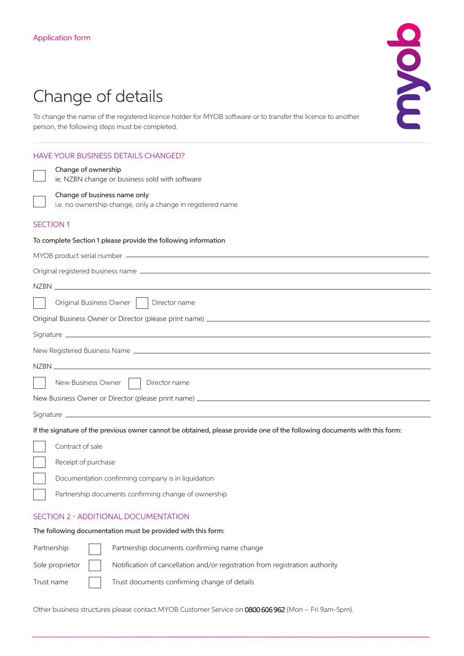# Change of details

To change the name of the registered licence holder for MYOB software or to transfer the licence to another person, the following steps must be completed.

## HAVE YOUR BUSINESS DETAILS CHANGED?

## Change of ownership

ie. NZBN change or business sold with software



# Change of business name only

i.e. no ownership change, only a change in registered name

## SECTION 1

#### To complete Section 1 please provide the following information

| MYOB product serial number ———————————————————— |  |  |  |  |
|-------------------------------------------------|--|--|--|--|
|                                                 |  |  |  |  |
|                                                 |  |  |  |  |
| Original Business Owner     Director name       |  |  |  |  |
|                                                 |  |  |  |  |
|                                                 |  |  |  |  |
|                                                 |  |  |  |  |
|                                                 |  |  |  |  |
| New Business Owner     Director name            |  |  |  |  |
|                                                 |  |  |  |  |
|                                                 |  |  |  |  |

If the signature of the previous owner cannot be obtained, please provide one of the following documents with this form:

| Contract of sale                                     |
|------------------------------------------------------|
| Receipt of purchase                                  |
| Documentation confirming company is in liquidation   |
| Partnership documents confirming change of ownership |

## SECTION 2 - ADDITIONAL DOCUMENTATION

#### The following documentation must be provided with this form:

| Partnership     | Partnership documents confirming name change                                 |
|-----------------|------------------------------------------------------------------------------|
| Sole proprietor | Notification of cancellation and/or registration from registration authority |
| Trust name      | Trust documents confirming change of details                                 |

Other business structures please contact MYOB Customer Service on 0800 606 962 (Mon – Fri 9am-5pm).